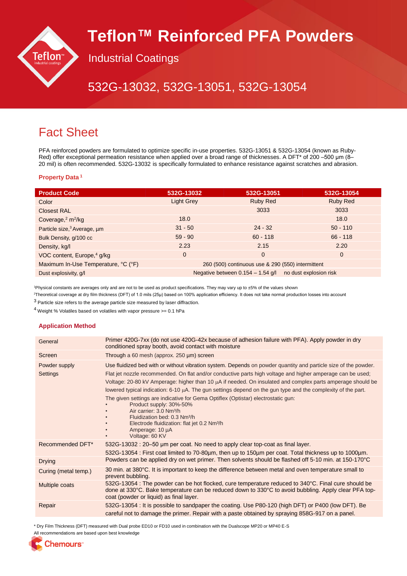

# **Teflon™ Reinforced PFA Powders**

Industrial Coatings

# 532G-13032, 532G-13051, 532G-13054

# Fact Sheet

PFA reinforced powders are formulated to optimize specific in-use properties. 532G-13051 & 532G-13054 (known as Ruby-Red) offer exceptional permeation resistance when applied over a broad range of thicknesses. A DFT\* of 200 –500 μm (8– 20 mil) is often recommended. 532G-13032 is specifically formulated to enhance resistance against scratches and abrasion.

### **Property Data <sup>1</sup>**

| <b>Product Code</b>                     | 532G-13032                                                    | 532G-13051      | 532G-13054      |
|-----------------------------------------|---------------------------------------------------------------|-----------------|-----------------|
| Color                                   | <b>Light Grey</b>                                             | <b>Ruby Red</b> | <b>Ruby Red</b> |
| <b>Closest RAL</b>                      |                                                               | 3033            | 3033            |
| Coverage, $2 \text{ m}^2/\text{kg}$     | 18.0                                                          |                 | 18.0            |
| Particle size, <sup>3</sup> Average, um | $31 - 50$                                                     | $24 - 32$       | $50 - 110$      |
| Bulk Density, g/100 cc                  | $59 - 90$                                                     | $60 - 118$      | $66 - 118$      |
| Density, kg/l                           | 2.23                                                          | 2.15            | 2.20            |
| VOC content, Europe, <sup>4</sup> g/kg  | $\overline{0}$                                                | $\mathbf 0$     | $\overline{0}$  |
| Maximum In-Use Temperature, °C (°F)     | 260 (500) continuous use & 290 (550) intermittent             |                 |                 |
| Dust explosivity, q/l                   | Negative between $0.154 - 1.54$ g/l<br>no dust explosion risk |                 |                 |

<sup>1</sup>Physical constants are averages only and are not to be used as product specifications. They may vary up to ±5% of the values shown

<sup>2</sup>Theoretical coverage at dry film thickness (DFT) of 1.0 mils (25μ) based on 100% application efficiency. It does not take normal production losses into account

<sup>3</sup> Particle size refers to the average particle size measured by laser diffraction.

 $4$  Weight % Volatiles based on volatiles with vapor pressure  $>= 0.1$  hPa

### **Application Method**

| General                   | Primer 420G-7xx (do not use 420G-42x because of adhesion failure with PFA). Apply powder in dry<br>conditioned spray booth, avoid contact with moisture                                                                                                                                                                                                                                                                                                                                                                                                                                                                                                                                                                                                              |
|---------------------------|----------------------------------------------------------------------------------------------------------------------------------------------------------------------------------------------------------------------------------------------------------------------------------------------------------------------------------------------------------------------------------------------------------------------------------------------------------------------------------------------------------------------------------------------------------------------------------------------------------------------------------------------------------------------------------------------------------------------------------------------------------------------|
| Screen                    | Through a 60 mesh (approx. 250 µm) screen                                                                                                                                                                                                                                                                                                                                                                                                                                                                                                                                                                                                                                                                                                                            |
| Powder supply<br>Settings | Use fluidized bed with or without vibration system. Depends on powder quantity and particle size of the powder.<br>Flat jet nozzle recommended. On flat and/or conductive parts high voltage and higher amperage can be used;<br>Voltage: 20-80 kV Amperage: higher than 10 μA if needed. On insulated and complex parts amperage should be<br>lowered typical indication: $6-10 \mu A$ . The gun settings depend on the gun type and the complexity of the part.<br>The given settings are indicative for Gema Optiflex (Optistar) electrostatic gun:<br>Product supply: 30%-50%<br>Air carrier: 3.0 Nm <sup>3</sup> /h<br>Fluidization bed: 0.3 Nm <sup>3</sup> /h<br>Electrode fluidization: flat jet 0.2 Nm <sup>3</sup> /h<br>Amperage: 10 µA<br>Voltage: 60 KV |
| Recommended DFT*          | 532G-13032 : 20–50 µm per coat. No need to apply clear top-coat as final layer.<br>532G-13054 : First coat limited to 70-80µm, then up to 150µm per coat. Total thickness up to 1000µm.                                                                                                                                                                                                                                                                                                                                                                                                                                                                                                                                                                              |
| <b>Drying</b>             | Powders can be applied dry on wet primer. Then solvents should be flashed off 5-10 min. at 150-170°C                                                                                                                                                                                                                                                                                                                                                                                                                                                                                                                                                                                                                                                                 |
| Curing (metal temp.)      | 30 min. at 380°C. It is important to keep the difference between metal and oven temperature small to<br>prevent bubbling.                                                                                                                                                                                                                                                                                                                                                                                                                                                                                                                                                                                                                                            |
| Multiple coats            | 532G-13054 : The powder can be hot flocked, cure temperature reduced to 340°C. Final cure should be<br>done at 330°C. Bake temperature can be reduced down to 330°C to avoid bubbling. Apply clear PFA top-<br>coat (powder or liquid) as final layer.                                                                                                                                                                                                                                                                                                                                                                                                                                                                                                               |
| Repair                    | 532G-13054 : It is possible to sandpaper the coating. Use P80-120 (high DFT) or P400 (low DFT). Be<br>careful not to damage the primer. Repair with a paste obtained by spraying 858G-917 on a panel.                                                                                                                                                                                                                                                                                                                                                                                                                                                                                                                                                                |

\* Dry Film Thickness (DFT) measured with Dual probe ED10 or FD10 used in combination with the Dualscope MP20 or MP40 E-S

All recommendations are based upon best knowledge